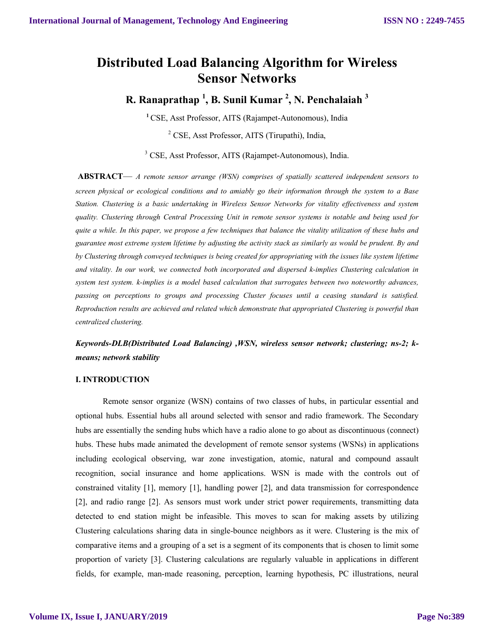# **Distributed Load Balancing Algorithm for Wireless Sensor Networks**

**R. Ranaprathap <sup>1</sup> , B. Sunil Kumar <sup>2</sup> , N. Penchalaiah <sup>3</sup>**

**<sup>1</sup>**CSE, Asst Professor, AITS (Rajampet-Autonomous), India <sup>2</sup> CSE, Asst Professor, AITS (Tirupathi), India,

<sup>3</sup> CSE, Asst Professor, AITS (Rajampet-Autonomous), India.

**ABSTRACT**— *A remote sensor arrange (WSN) comprises of spatially scattered independent sensors to screen physical or ecological conditions and to amiably go their information through the system to a Base Station. Clustering is a basic undertaking in Wireless Sensor Networks for vitality effectiveness and system quality. Clustering through Central Processing Unit in remote sensor systems is notable and being used for quite a while. In this paper, we propose a few techniques that balance the vitality utilization of these hubs and guarantee most extreme system lifetime by adjusting the activity stack as similarly as would be prudent. By and by Clustering through conveyed techniques is being created for appropriating with the issues like system lifetime and vitality. In our work, we connected both incorporated and dispersed k-implies Clustering calculation in system test system. k-implies is a model based calculation that surrogates between two noteworthy advances, passing on perceptions to groups and processing Cluster focuses until a ceasing standard is satisfied. Reproduction results are achieved and related which demonstrate that appropriated Clustering is powerful than centralized clustering.*

*Keywords-DLB(Distributed Load Balancing) ,WSN, wireless sensor network; clustering; ns-2; kmeans; network stability*

# **I. INTRODUCTION**

Remote sensor organize (WSN) contains of two classes of hubs, in particular essential and optional hubs. Essential hubs all around selected with sensor and radio framework. The Secondary hubs are essentially the sending hubs which have a radio alone to go about as discontinuous (connect) hubs. These hubs made animated the development of remote sensor systems (WSNs) in applications including ecological observing, war zone investigation, atomic, natural and compound assault recognition, social insurance and home applications. WSN is made with the controls out of constrained vitality [1], memory [1], handling power [2], and data transmission for correspondence [2], and radio range [2]. As sensors must work under strict power requirements, transmitting data detected to end station might be infeasible. This moves to scan for making assets by utilizing Clustering calculations sharing data in single-bounce neighbors as it were. Clustering is the mix of comparative items and a grouping of a set is a segment of its components that is chosen to limit some proportion of variety [3]. Clustering calculations are regularly valuable in applications in different fields, for example, man-made reasoning, perception, learning hypothesis, PC illustrations, neural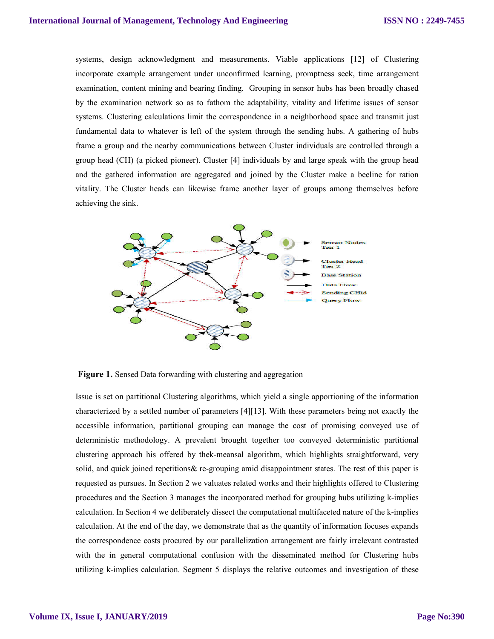systems, design acknowledgment and measurements. Viable applications [12] of Clustering incorporate example arrangement under unconfirmed learning, promptness seek, time arrangement examination, content mining and bearing finding. Grouping in sensor hubs has been broadly chased by the examination network so as to fathom the adaptability, vitality and lifetime issues of sensor systems. Clustering calculations limit the correspondence in a neighborhood space and transmit just fundamental data to whatever is left of the system through the sending hubs. A gathering of hubs frame a group and the nearby communications between Cluster individuals are controlled through a group head (CH) (a picked pioneer). Cluster [4] individuals by and large speak with the group head and the gathered information are aggregated and joined by the Cluster make a beeline for ration vitality. The Cluster heads can likewise frame another layer of groups among themselves before achieving the sink.



**Figure 1.** Sensed Data forwarding with clustering and aggregation

Issue is set on partitional Clustering algorithms, which yield a single apportioning of the information characterized by a settled number of parameters [4][13]. With these parameters being not exactly the accessible information, partitional grouping can manage the cost of promising conveyed use of deterministic methodology. A prevalent brought together too conveyed deterministic partitional clustering approach his offered by thek-meansal algorithm, which highlights straightforward, very solid, and quick joined repetitions& re-grouping amid disappointment states. The rest of this paper is requested as pursues. In Section 2 we valuates related works and their highlights offered to Clustering procedures and the Section 3 manages the incorporated method for grouping hubs utilizing k-implies calculation. In Section 4 we deliberately dissect the computational multifaceted nature of the k-implies calculation. At the end of the day, we demonstrate that as the quantity of information focuses expands the correspondence costs procured by our parallelization arrangement are fairly irrelevant contrasted with the in general computational confusion with the disseminated method for Clustering hubs utilizing k-implies calculation. Segment 5 displays the relative outcomes and investigation of these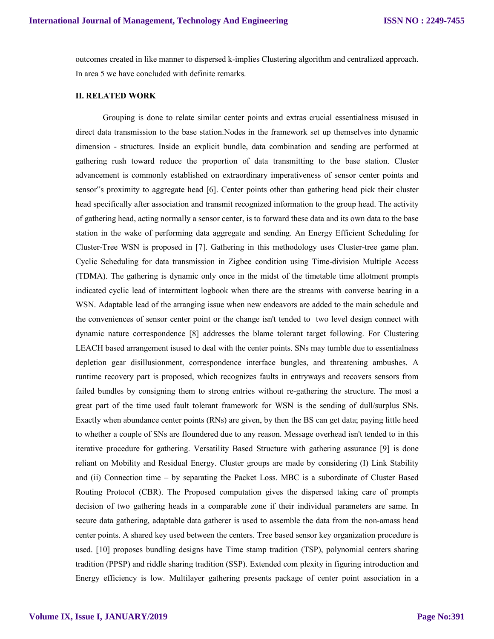outcomes created in like manner to dispersed k-implies Clustering algorithm and centralized approach. In area 5 we have concluded with definite remarks.

#### **II. RELATED WORK**

Grouping is done to relate similar center points and extras crucial essentialness misused in direct data transmission to the base station.Nodes in the framework set up themselves into dynamic dimension - structures. Inside an explicit bundle, data combination and sending are performed at gathering rush toward reduce the proportion of data transmitting to the base station. Cluster advancement is commonly established on extraordinary imperativeness of sensor center points and sensor"s proximity to aggregate head [6]. Center points other than gathering head pick their cluster head specifically after association and transmit recognized information to the group head. The activity of gathering head, acting normally a sensor center, is to forward these data and its own data to the base station in the wake of performing data aggregate and sending. An Energy Efficient Scheduling for Cluster-Tree WSN is proposed in [7]. Gathering in this methodology uses Cluster-tree game plan. Cyclic Scheduling for data transmission in Zigbee condition using Time-division Multiple Access (TDMA). The gathering is dynamic only once in the midst of the timetable time allotment prompts indicated cyclic lead of intermittent logbook when there are the streams with converse bearing in a WSN. Adaptable lead of the arranging issue when new endeavors are added to the main schedule and the conveniences of sensor center point or the change isn't tended to two level design connect with dynamic nature correspondence [8] addresses the blame tolerant target following. For Clustering LEACH based arrangement isused to deal with the center points. SNs may tumble due to essentialness depletion gear disillusionment, correspondence interface bungles, and threatening ambushes. A runtime recovery part is proposed, which recognizes faults in entryways and recovers sensors from failed bundles by consigning them to strong entries without re-gathering the structure. The most a great part of the time used fault tolerant framework for WSN is the sending of dull/surplus SNs. Exactly when abundance center points (RNs) are given, by then the BS can get data; paying little heed to whether a couple of SNs are floundered due to any reason. Message overhead isn't tended to in this iterative procedure for gathering. Versatility Based Structure with gathering assurance [9] is done reliant on Mobility and Residual Energy. Cluster groups are made by considering (I) Link Stability and (ii) Connection time – by separating the Packet Loss. MBC is a subordinate of Cluster Based Routing Protocol (CBR). The Proposed computation gives the dispersed taking care of prompts decision of two gathering heads in a comparable zone if their individual parameters are same. In secure data gathering, adaptable data gatherer is used to assemble the data from the non-amass head center points. A shared key used between the centers. Tree based sensor key organization procedure is used. [10] proposes bundling designs have Time stamp tradition (TSP), polynomial centers sharing tradition (PPSP) and riddle sharing tradition (SSP). Extended com plexity in figuring introduction and Energy efficiency is low. Multilayer gathering presents package of center point association in a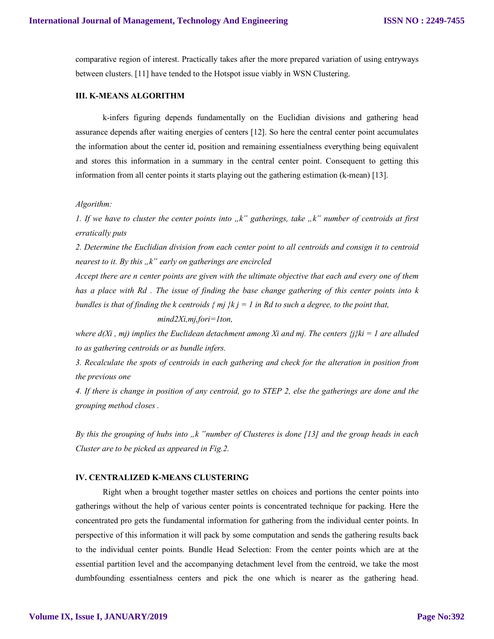comparative region of interest. Practically takes after the more prepared variation of using entryways between clusters. [11] have tended to the Hotspot issue viably in WSN Clustering.

#### **III. K-MEANS ALGORITHM**

k-infers figuring depends fundamentally on the Euclidian divisions and gathering head assurance depends after waiting energies of centers [12]. So here the central center point accumulates the information about the center id, position and remaining essentialness everything being equivalent and stores this information in a summary in the central center point. Consequent to getting this information from all center points it starts playing out the gathering estimation (k-mean) [13].

## *Algorithm:*

*1. If we have to cluster the center points into*  $\mu$ <sup>"</sup> gatherings, take  $\mu$ <sup>"</sup> number of centroids at first *erratically puts* 

*2. Determine the Euclidian division from each center point to all centroids and consign it to centroid nearest to it. By this "k" early on gatherings are encircled* 

*Accept there are n center points are given with the ultimate objective that each and every one of them has a place with Rd . The issue of finding the base change gathering of this center points into k bundles is that of finding the k centroids { mj }k j = 1 in Rd to such a degree, to the point that,* 

#### *mind2Xi,mj,fori=1ton,*

*where d(Xi, mj) implies the Euclidean detachment among Xi and mj. The centers*  $\{j\}k_i = 1$  *are alluded to as gathering centroids or as bundle infers.* 

*3. Recalculate the spots of centroids in each gathering and check for the alteration in position from the previous one* 

*4. If there is change in position of any centroid, go to STEP 2, else the gatherings are done and the grouping method closes .*

*By this the grouping of hubs into "k "number of Clusteres is done [13] and the group heads in each Cluster are to be picked as appeared in Fig.2.* 

#### **IV. CENTRALIZED K-MEANS CLUSTERING**

Right when a brought together master settles on choices and portions the center points into gatherings without the help of various center points is concentrated technique for packing. Here the concentrated pro gets the fundamental information for gathering from the individual center points. In perspective of this information it will pack by some computation and sends the gathering results back to the individual center points. Bundle Head Selection: From the center points which are at the essential partition level and the accompanying detachment level from the centroid, we take the most dumbfounding essentialness centers and pick the one which is nearer as the gathering head.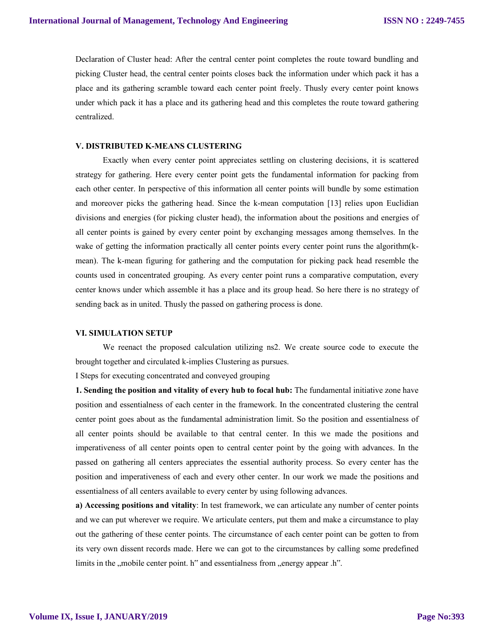Declaration of Cluster head: After the central center point completes the route toward bundling and picking Cluster head, the central center points closes back the information under which pack it has a place and its gathering scramble toward each center point freely. Thusly every center point knows under which pack it has a place and its gathering head and this completes the route toward gathering centralized.

# **V. DISTRIBUTED K-MEANS CLUSTERING**

Exactly when every center point appreciates settling on clustering decisions, it is scattered strategy for gathering. Here every center point gets the fundamental information for packing from each other center. In perspective of this information all center points will bundle by some estimation and moreover picks the gathering head. Since the k-mean computation [13] relies upon Euclidian divisions and energies (for picking cluster head), the information about the positions and energies of all center points is gained by every center point by exchanging messages among themselves. In the wake of getting the information practically all center points every center point runs the algorithm(kmean). The k-mean figuring for gathering and the computation for picking pack head resemble the counts used in concentrated grouping. As every center point runs a comparative computation, every center knows under which assemble it has a place and its group head. So here there is no strategy of sending back as in united. Thusly the passed on gathering process is done.

### **VI. SIMULATION SETUP**

We reenact the proposed calculation utilizing ns2. We create source code to execute the brought together and circulated k-implies Clustering as pursues.

I Steps for executing concentrated and conveyed grouping

**1. Sending the position and vitality of every hub to focal hub:** The fundamental initiative zone have position and essentialness of each center in the framework. In the concentrated clustering the central center point goes about as the fundamental administration limit. So the position and essentialness of all center points should be available to that central center. In this we made the positions and imperativeness of all center points open to central center point by the going with advances. In the passed on gathering all centers appreciates the essential authority process. So every center has the position and imperativeness of each and every other center. In our work we made the positions and essentialness of all centers available to every center by using following advances.

**a) Accessing positions and vitality**: In test framework, we can articulate any number of center points and we can put wherever we require. We articulate centers, put them and make a circumstance to play out the gathering of these center points. The circumstance of each center point can be gotten to from its very own dissent records made. Here we can got to the circumstances by calling some predefined limits in the ,,mobile center point. h" and essentialness from ,,energy appear .h".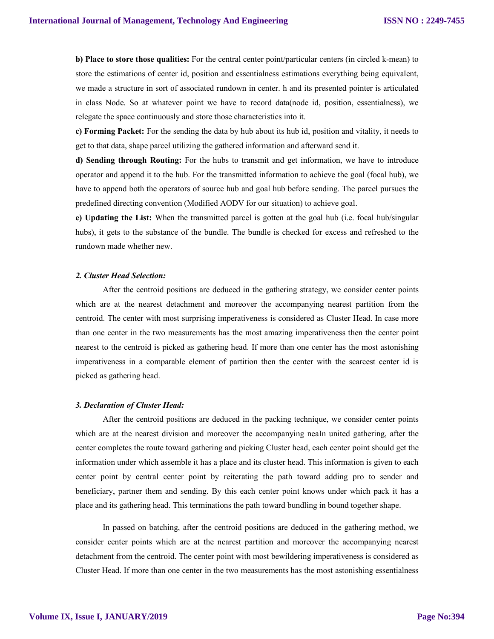**b) Place to store those qualities:** For the central center point/particular centers (in circled k-mean) to store the estimations of center id, position and essentialness estimations everything being equivalent, we made a structure in sort of associated rundown in center. h and its presented pointer is articulated in class Node. So at whatever point we have to record data(node id, position, essentialness), we relegate the space continuously and store those characteristics into it.

**c) Forming Packet:** For the sending the data by hub about its hub id, position and vitality, it needs to get to that data, shape parcel utilizing the gathered information and afterward send it.

**d) Sending through Routing:** For the hubs to transmit and get information, we have to introduce operator and append it to the hub. For the transmitted information to achieve the goal (focal hub), we have to append both the operators of source hub and goal hub before sending. The parcel pursues the predefined directing convention (Modified AODV for our situation) to achieve goal.

**e) Updating the List:** When the transmitted parcel is gotten at the goal hub (i.e. focal hub/singular hubs), it gets to the substance of the bundle. The bundle is checked for excess and refreshed to the rundown made whether new.

## *2. Cluster Head Selection:*

After the centroid positions are deduced in the gathering strategy, we consider center points which are at the nearest detachment and moreover the accompanying nearest partition from the centroid. The center with most surprising imperativeness is considered as Cluster Head. In case more than one center in the two measurements has the most amazing imperativeness then the center point nearest to the centroid is picked as gathering head. If more than one center has the most astonishing imperativeness in a comparable element of partition then the center with the scarcest center id is picked as gathering head.

#### *3. Declaration of Cluster Head:*

After the centroid positions are deduced in the packing technique, we consider center points which are at the nearest division and moreover the accompanying neaIn united gathering, after the center completes the route toward gathering and picking Cluster head, each center point should get the information under which assemble it has a place and its cluster head. This information is given to each center point by central center point by reiterating the path toward adding pro to sender and beneficiary, partner them and sending. By this each center point knows under which pack it has a place and its gathering head. This terminations the path toward bundling in bound together shape.

In passed on batching, after the centroid positions are deduced in the gathering method, we consider center points which are at the nearest partition and moreover the accompanying nearest detachment from the centroid. The center point with most bewildering imperativeness is considered as Cluster Head. If more than one center in the two measurements has the most astonishing essentialness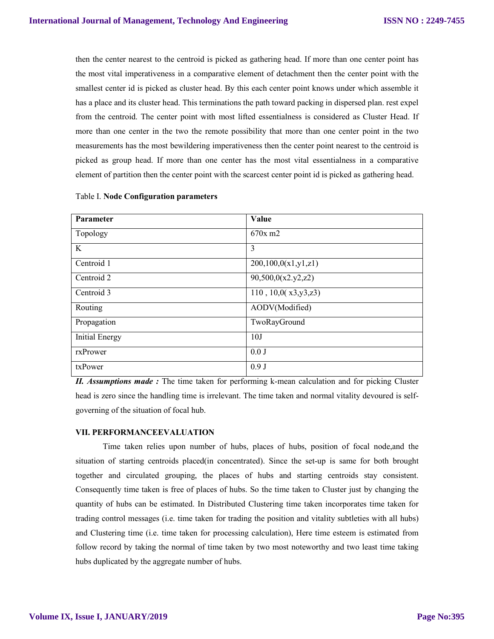then the center nearest to the centroid is picked as gathering head. If more than one center point has the most vital imperativeness in a comparative element of detachment then the center point with the smallest center id is picked as cluster head. By this each center point knows under which assemble it has a place and its cluster head. This terminations the path toward packing in dispersed plan. rest expel from the centroid. The center point with most lifted essentialness is considered as Cluster Head. If more than one center in the two the remote possibility that more than one center point in the two measurements has the most bewildering imperativeness then the center point nearest to the centroid is picked as group head. If more than one center has the most vital essentialness in a comparative element of partition then the center point with the scarcest center point id is picked as gathering head.

| <b>Parameter</b>      | Value                  |
|-----------------------|------------------------|
| Topology              | $670x \text{ m}2$      |
| K                     | 3                      |
| Centroid 1            | 200,100,0(x1,y1,z1)    |
| Centroid 2            | 90,500,0(x2.y2,z2)     |
| Centroid 3            | 110, 10, 0(x3, y3, z3) |
| Routing               | AODV(Modified)         |
| Propagation           | TwoRayGround           |
| <b>Initial Energy</b> | 10J                    |
| rxPrower              | 0.0J                   |
| txPower               | 0.9J                   |

## Table I. **Node Configuration parameters**

*II. Assumptions made :* The time taken for performing k-mean calculation and for picking Cluster head is zero since the handling time is irrelevant. The time taken and normal vitality devoured is selfgoverning of the situation of focal hub.

### **VII. PERFORMANCEEVALUATION**

Time taken relies upon number of hubs, places of hubs, position of focal node,and the situation of starting centroids placed(in concentrated). Since the set-up is same for both brought together and circulated grouping, the places of hubs and starting centroids stay consistent. Consequently time taken is free of places of hubs. So the time taken to Cluster just by changing the quantity of hubs can be estimated. In Distributed Clustering time taken incorporates time taken for trading control messages (i.e. time taken for trading the position and vitality subtleties with all hubs) and Clustering time (i.e. time taken for processing calculation), Here time esteem is estimated from follow record by taking the normal of time taken by two most noteworthy and two least time taking hubs duplicated by the aggregate number of hubs.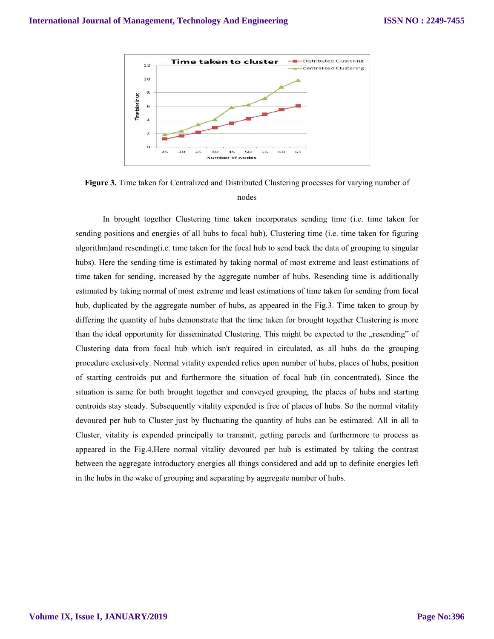

**Figure 3.** Time taken for Centralized and Distributed Clustering processes for varying number of nodes

In brought together Clustering time taken incorporates sending time (i.e. time taken for sending positions and energies of all hubs to focal hub), Clustering time (i.e. time taken for figuring algorithm)and resending(i.e. time taken for the focal hub to send back the data of grouping to singular hubs). Here the sending time is estimated by taking normal of most extreme and least estimations of time taken for sending, increased by the aggregate number of hubs. Resending time is additionally estimated by taking normal of most extreme and least estimations of time taken for sending from focal hub, duplicated by the aggregate number of hubs, as appeared in the Fig.3. Time taken to group by differing the quantity of hubs demonstrate that the time taken for brought together Clustering is more than the ideal opportunity for disseminated Clustering. This might be expected to the "resending" of Clustering data from focal hub which isn't required in circulated, as all hubs do the grouping procedure exclusively. Normal vitality expended relies upon number of hubs, places of hubs, position of starting centroids put and furthermore the situation of focal hub (in concentrated). Since the situation is same for both brought together and conveyed grouping, the places of hubs and starting centroids stay steady. Subsequently vitality expended is free of places of hubs. So the normal vitality devoured per hub to Cluster just by fluctuating the quantity of hubs can be estimated. All in all to Cluster, vitality is expended principally to transmit, getting parcels and furthermore to process as appeared in the Fig.4.Here normal vitality devoured per hub is estimated by taking the contrast between the aggregate introductory energies all things considered and add up to definite energies left in the hubs in the wake of grouping and separating by aggregate number of hubs.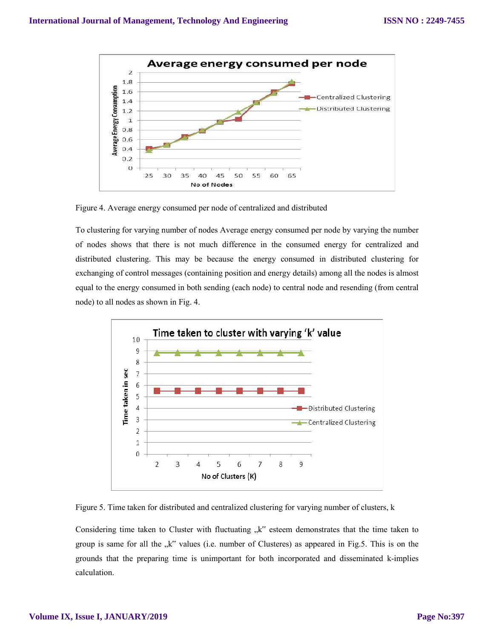

Figure 4. Average energy consumed per node of centralized and distributed

To clustering for varying number of nodes Average energy consumed per node by varying the number of nodes shows that there is not much difference in the consumed energy for centralized and distributed clustering. This may be because the energy consumed in distributed clustering for exchanging of control messages (containing position and energy details) among all the nodes is almost equal to the energy consumed in both sending (each node) to central node and resending (from central node) to all nodes as shown in Fig. 4.



Figure 5. Time taken for distributed and centralized clustering for varying number of clusters, k

Considering time taken to Cluster with fluctuating "k" esteem demonstrates that the time taken to group is same for all the "k" values (i.e. number of Clusteres) as appeared in Fig.5. This is on the grounds that the preparing time is unimportant for both incorporated and disseminated k-implies calculation.